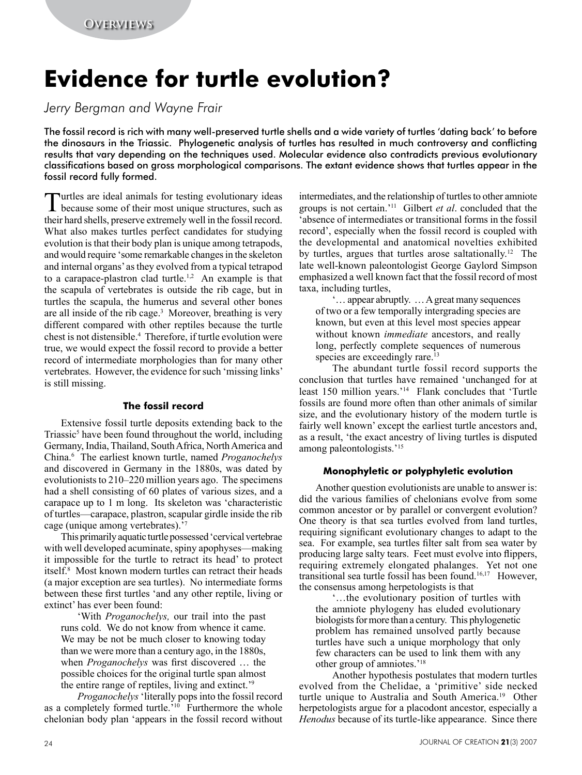# **Evidence for turtle evolution?**

*Jerry Bergman and Wayne Frair*

The fossil record is rich with many well-preserved turtle shells and a wide variety of turtles 'dating back' to before the dinosaurs in the Triassic. Phylogenetic analysis of turtles has resulted in much controversy and conflicting results that vary depending on the techniques used. Molecular evidence also contradicts previous evolutionary classifications based on gross morphological comparisons. The extant evidence shows that turtles appear in the fossil record fully formed.

Turtles are ideal animals for testing evolutionary ideas because some of their most unique structures, such as their hard shells, preserve extremely well in the fossil record. What also makes turtles perfect candidates for studying evolution is that their body plan is unique among tetrapods, and would require 'some remarkable changes in the skeleton and internal organs' as they evolved from a typical tetrapod to a carapace-plastron clad turtle.<sup>1,2</sup> An example is that the scapula of vertebrates is outside the rib cage, but in turtles the scapula, the humerus and several other bones are all inside of the rib cage.<sup>3</sup> Moreover, breathing is very different compared with other reptiles because the turtle chest is not distensible.4 Therefore, if turtle evolution were true, we would expect the fossil record to provide a better record of intermediate morphologies than for many other vertebrates. However, the evidence for such 'missing links' is still missing.

## **The fossil record**

Extensive fossil turtle deposits extending back to the Triassic<sup>5</sup> have been found throughout the world, including Germany, India, Thailand, South Africa, North America and China.6 The earliest known turtle, named *Proganochelys* and discovered in Germany in the 1880s, was dated by evolutionists to 210–220 million years ago. The specimens had a shell consisting of 60 plates of various sizes, and a carapace up to 1 m long. Its skeleton was 'characteristic of turtles—carapace, plastron, scapular girdle inside the rib cage (unique among vertebrates).'7

This primarily aquatic turtle possessed 'cervical vertebrae with well developed acuminate, spiny apophyses—making it impossible for the turtle to retract its head' to protect itself.8 Most known modern turtles can retract their heads (a major exception are sea turtles). No intermediate forms between these first turtles 'and any other reptile, living or extinct' has ever been found:

'With *Proganochelys,* our trail into the past runs cold. We do not know from whence it came. We may be not be much closer to knowing today than we were more than a century ago, in the 1880s, when *Proganochelys* was first discovered … the possible choices for the original turtle span almost the entire range of reptiles, living and extinct.'9

*Proganochelys* 'literally pops into the fossil record as a completely formed turtle.<sup>'10</sup> Furthermore the whole chelonian body plan 'appears in the fossil record without intermediates, and the relationship of turtles to other amniote groups is not certain.'11 Gilbert *et al*. concluded that the 'absence of intermediates or transitional forms in the fossil record', especially when the fossil record is coupled with the developmental and anatomical novelties exhibited by turtles, argues that turtles arose saltationally.12 The late well-known paleontologist George Gaylord Simpson emphasized a well known fact that the fossil record of most taxa, including turtles,

'… appear abruptly. … A great many sequences of two or a few temporally intergrading species are known, but even at this level most species appear without known *immediate* ancestors, and really long, perfectly complete sequences of numerous species are exceedingly rare.<sup>13</sup>

The abundant turtle fossil record supports the conclusion that turtles have remained 'unchanged for at least 150 million years.'14 Flank concludes that 'Turtle fossils are found more often than other animals of similar size, and the evolutionary history of the modern turtle is fairly well known' except the earliest turtle ancestors and, as a result, 'the exact ancestry of living turtles is disputed among paleontologists.'15

# **Monophyletic or polyphyletic evolution**

Another question evolutionists are unable to answer is: did the various families of chelonians evolve from some common ancestor or by parallel or convergent evolution? One theory is that sea turtles evolved from land turtles, requiring significant evolutionary changes to adapt to the sea. For example, sea turtles filter salt from sea water by producing large salty tears. Feet must evolve into flippers, requiring extremely elongated phalanges. Yet not one transitional sea turtle fossil has been found.16,17 However, the consensus among herpetologists is that

'…the evolutionary position of turtles with the amniote phylogeny has eluded evolutionary biologists for more than a century. This phylogenetic problem has remained unsolved partly because turtles have such a unique morphology that only few characters can be used to link them with any other group of amniotes.'18

Another hypothesis postulates that modern turtles evolved from the Chelidae, a 'primitive' side necked turtle unique to Australia and South America.19 Other herpetologists argue for a placodont ancestor, especially a *Henodus* because of its turtle-like appearance. Since there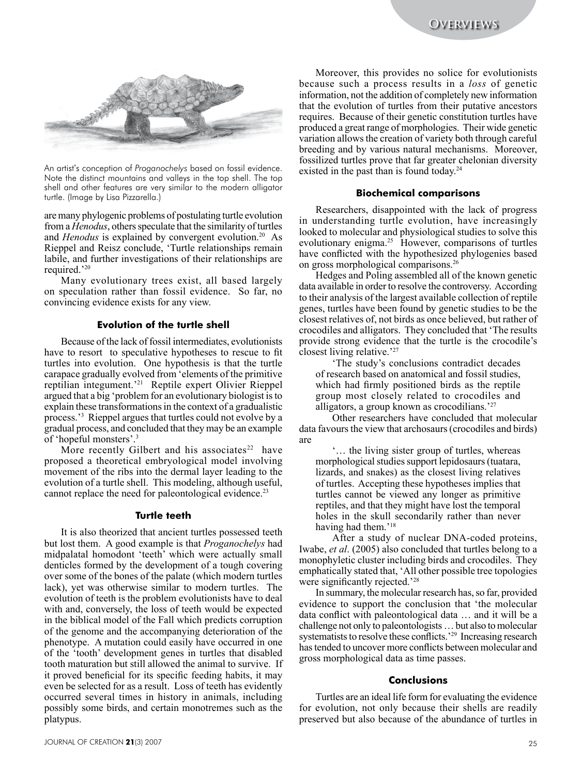

An artist's conception of *Proganochelys* based on fossil evidence. Note the distinct mountains and valleys in the top shell. The top shell and other features are very similar to the modern alligator turtle. (Image by Lisa Pizzarella.)

are many phylogenic problems of postulating turtle evolution from a *Henodus*, others speculate that the similarity of turtles and *Henodus* is explained by convergent evolution.<sup>20</sup> As Rieppel and Reisz conclude, 'Turtle relationships remain labile, and further investigations of their relationships are required.'20

Many evolutionary trees exist, all based largely on speculation rather than fossil evidence. So far, no convincing evidence exists for any view.

### **Evolution of the turtle shell**

Because of the lack of fossil intermediates, evolutionists have to resort to speculative hypotheses to rescue to fit turtles into evolution. One hypothesis is that the turtle carapace gradually evolved from 'elements of the primitive reptilian integument.'21 Reptile expert Olivier Rieppel argued that a big 'problem for an evolutionary biologist is to explain these transformations in the context of a gradualistic process.'3 Rieppel argues that turtles could not evolve by a gradual process, and concluded that they may be an example of 'hopeful monsters'.3

More recently Gilbert and his associates<sup>22</sup> have proposed a theoretical embryological model involving movement of the ribs into the dermal layer leading to the evolution of a turtle shell. This modeling, although useful, cannot replace the need for paleontological evidence.<sup>23</sup>

### **Turtle teeth**

It is also theorized that ancient turtles possessed teeth but lost them. A good example is that *Proganochelys* had midpalatal homodont 'teeth' which were actually small denticles formed by the development of a tough covering over some of the bones of the palate (which modern turtles lack), yet was otherwise similar to modern turtles. The evolution of teeth is the problem evolutionists have to deal with and, conversely, the loss of teeth would be expected in the biblical model of the Fall which predicts corruption of the genome and the accompanying deterioration of the phenotype. A mutation could easily have occurred in one of the 'tooth' development genes in turtles that disabled tooth maturation but still allowed the animal to survive. If it proved beneficial for its specific feeding habits, it may even be selected for as a result. Loss of teeth has evidently occurred several times in history in animals, including possibly some birds, and certain monotremes such as the platypus.

Moreover, this provides no solice for evolutionists because such a process results in a *loss* of genetic information, not the addition of completely new information that the evolution of turtles from their putative ancestors requires. Because of their genetic constitution turtles have produced a great range of morphologies. Their wide genetic variation allows the creation of variety both through careful breeding and by various natural mechanisms. Moreover, fossilized turtles prove that far greater chelonian diversity existed in the past than is found today.<sup>24</sup>

#### **Biochemical comparisons**

Researchers, disappointed with the lack of progress in understanding turtle evolution, have increasingly looked to molecular and physiological studies to solve this evolutionary enigma.25 However, comparisons of turtles have conflicted with the hypothesized phylogenies based on gross morphological comparisons.<sup>26</sup>

Hedges and Poling assembled all of the known genetic data available in order to resolve the controversy. According to their analysis of the largest available collection of reptile genes, turtles have been found by genetic studies to be the closest relatives of, not birds as once believed, but rather of crocodiles and alligators. They concluded that 'The results provide strong evidence that the turtle is the crocodile's closest living relative.'27

'The study's conclusions contradict decades of research based on anatomical and fossil studies, which had firmly positioned birds as the reptile group most closely related to crocodiles and alligators, a group known as crocodilians.'27

Other researchers have concluded that molecular data favours the view that archosaurs (crocodiles and birds) are

'… the living sister group of turtles, whereas morphological studies support lepidosaurs (tuatara, lizards, and snakes) as the closest living relatives of turtles. Accepting these hypotheses implies that turtles cannot be viewed any longer as primitive reptiles, and that they might have lost the temporal holes in the skull secondarily rather than never having had them.<sup>'18</sup>

After a study of nuclear DNA-coded proteins, Iwabe, *et al*. (2005) also concluded that turtles belong to a monophyletic cluster including birds and crocodiles. They emphatically stated that, 'All other possible tree topologies were significantly rejected.<sup>'28</sup>

In summary, the molecular research has, so far, provided evidence to support the conclusion that 'the molecular data conflict with paleontological data … and it will be a challenge not only to paleontologists … but also to molecular systematists to resolve these conflicts.<sup>'29</sup> Increasing research has tended to uncover more conflicts between molecular and gross morphological data as time passes.

#### **Conclusions**

Turtles are an ideal life form for evaluating the evidence for evolution, not only because their shells are readily preserved but also because of the abundance of turtles in